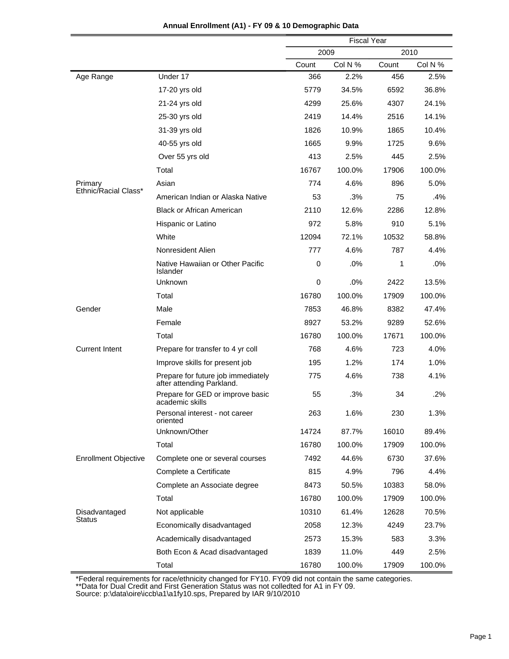|                             |                                                                 | <b>Fiscal Year</b> |         |       |         |  |
|-----------------------------|-----------------------------------------------------------------|--------------------|---------|-------|---------|--|
|                             |                                                                 | 2009               |         |       | 2010    |  |
|                             |                                                                 | Count              | Col N % | Count | Col N % |  |
| Age Range                   | Under 17                                                        | 366                | 2.2%    | 456   | 2.5%    |  |
|                             | 17-20 yrs old                                                   | 5779               | 34.5%   | 6592  | 36.8%   |  |
|                             | 21-24 yrs old                                                   | 4299               | 25.6%   | 4307  | 24.1%   |  |
|                             | 25-30 yrs old                                                   | 2419               | 14.4%   | 2516  | 14.1%   |  |
|                             | 31-39 yrs old                                                   | 1826               | 10.9%   | 1865  | 10.4%   |  |
|                             | 40-55 yrs old                                                   | 1665               | 9.9%    | 1725  | 9.6%    |  |
|                             | Over 55 yrs old                                                 | 413                | 2.5%    | 445   | 2.5%    |  |
|                             | Total                                                           | 16767              | 100.0%  | 17906 | 100.0%  |  |
| Primary                     | Asian                                                           | 774                | 4.6%    | 896   | 5.0%    |  |
| Ethnic/Racial Class*        | American Indian or Alaska Native                                | 53                 | .3%     | 75    | .4%     |  |
|                             | <b>Black or African American</b>                                | 2110               | 12.6%   | 2286  | 12.8%   |  |
|                             | Hispanic or Latino                                              | 972                | 5.8%    | 910   | 5.1%    |  |
|                             | White                                                           | 12094              | 72.1%   | 10532 | 58.8%   |  |
|                             | Nonresident Alien                                               | 777                | 4.6%    | 787   | 4.4%    |  |
|                             | Native Hawaiian or Other Pacific<br>Islander                    | 0                  | .0%     | 1     | $.0\%$  |  |
|                             | Unknown                                                         | 0                  | .0%     | 2422  | 13.5%   |  |
|                             | Total                                                           | 16780              | 100.0%  | 17909 | 100.0%  |  |
| Gender                      | Male                                                            | 7853               | 46.8%   | 8382  | 47.4%   |  |
|                             | Female                                                          | 8927               | 53.2%   | 9289  | 52.6%   |  |
|                             | Total                                                           | 16780              | 100.0%  | 17671 | 100.0%  |  |
| <b>Current Intent</b>       | Prepare for transfer to 4 yr coll                               | 768                | 4.6%    | 723   | 4.0%    |  |
|                             | Improve skills for present job                                  | 195                | 1.2%    | 174   | 1.0%    |  |
|                             | Prepare for future job immediately<br>after attending Parkland. | 775                | 4.6%    | 738   | 4.1%    |  |
|                             | Prepare for GED or improve basic<br>academic skills             | 55                 | .3%     | 34    | .2%     |  |
|                             | Personal interest - not career<br>oriented                      | 263                | 1.6%    | 230   | 1.3%    |  |
|                             | Unknown/Other                                                   | 14724              | 87.7%   | 16010 | 89.4%   |  |
|                             | Total                                                           | 16780              | 100.0%  | 17909 | 100.0%  |  |
| <b>Enrollment Objective</b> | Complete one or several courses                                 | 7492               | 44.6%   | 6730  | 37.6%   |  |
|                             | Complete a Certificate                                          | 815                | 4.9%    | 796   | 4.4%    |  |
|                             | Complete an Associate degree                                    | 8473               | 50.5%   | 10383 | 58.0%   |  |
|                             | Total                                                           | 16780              | 100.0%  | 17909 | 100.0%  |  |
| Disadvantaged               | Not applicable                                                  | 10310              | 61.4%   | 12628 | 70.5%   |  |
| Status                      | Economically disadvantaged                                      | 2058               | 12.3%   | 4249  | 23.7%   |  |
|                             | Academically disadvantaged                                      | 2573               | 15.3%   | 583   | 3.3%    |  |
|                             | Both Econ & Acad disadvantaged                                  | 1839               | 11.0%   | 449   | 2.5%    |  |
|                             | Total                                                           | 16780              | 100.0%  | 17909 | 100.0%  |  |

## **Annual Enrollment (A1) - FY 09 & 10 Demographic Data**

\*Federal requirements for race/ethnicity changed for FY10. FY09 did not contain the same categories.

\*\*Data for Dual Credit and First Generation Status was not colledted for A1 in FY 09.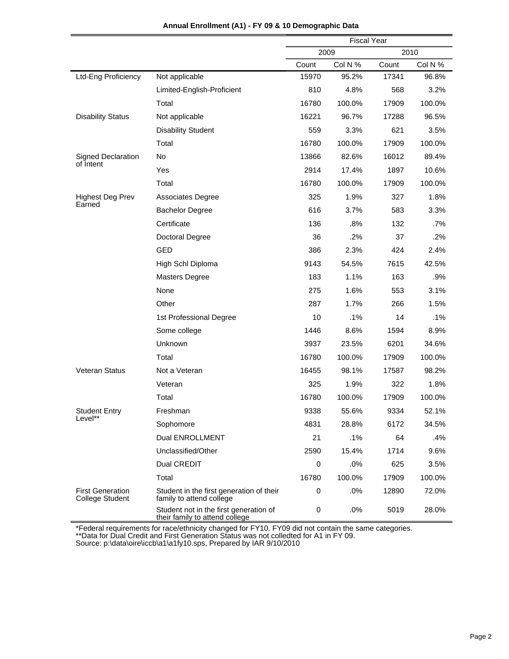|                                                   |                                                                          | <b>Fiscal Year</b> |         |       |         |  |  |
|---------------------------------------------------|--------------------------------------------------------------------------|--------------------|---------|-------|---------|--|--|
|                                                   |                                                                          | 2009               |         |       | 2010    |  |  |
|                                                   |                                                                          | Count              | Col N % | Count | Col N % |  |  |
| Ltd-Eng Proficiency                               | Not applicable                                                           | 15970              | 95.2%   | 17341 | 96.8%   |  |  |
|                                                   | Limited-English-Proficient                                               | 810                | 4.8%    | 568   | 3.2%    |  |  |
|                                                   | Total                                                                    | 16780              | 100.0%  | 17909 | 100.0%  |  |  |
| <b>Disability Status</b>                          | Not applicable                                                           | 16221              | 96.7%   | 17288 | 96.5%   |  |  |
|                                                   | <b>Disability Student</b>                                                | 559                | 3.3%    | 621   | 3.5%    |  |  |
|                                                   | Total                                                                    | 16780              | 100.0%  | 17909 | 100.0%  |  |  |
| <b>Signed Declaration</b>                         | No                                                                       | 13866              | 82.6%   | 16012 | 89.4%   |  |  |
| of Intent                                         | Yes                                                                      | 2914               | 17.4%   | 1897  | 10.6%   |  |  |
|                                                   | Total                                                                    | 16780              | 100.0%  | 17909 | 100.0%  |  |  |
| <b>Highest Deg Prev</b>                           | <b>Associates Degree</b>                                                 | 325                | 1.9%    | 327   | 1.8%    |  |  |
| Earned                                            | <b>Bachelor Degree</b>                                                   | 616                | 3.7%    | 583   | 3.3%    |  |  |
|                                                   | Certificate                                                              | 136                | .8%     | 132   | $.7\%$  |  |  |
|                                                   | <b>Doctoral Degree</b>                                                   | 36                 | .2%     | 37    | .2%     |  |  |
|                                                   | <b>GED</b>                                                               | 386                | 2.3%    | 424   | 2.4%    |  |  |
|                                                   | High Schl Diploma                                                        | 9143               | 54.5%   | 7615  | 42.5%   |  |  |
|                                                   | <b>Masters Degree</b>                                                    | 183                | 1.1%    | 163   | .9%     |  |  |
|                                                   | None                                                                     | 275                | 1.6%    | 553   | 3.1%    |  |  |
|                                                   | Other                                                                    | 287                | 1.7%    | 266   | 1.5%    |  |  |
|                                                   | 1st Professional Degree                                                  | 10                 | .1%     | 14    | .1%     |  |  |
|                                                   | Some college                                                             | 1446               | 8.6%    | 1594  | 8.9%    |  |  |
|                                                   | Unknown                                                                  | 3937               | 23.5%   | 6201  | 34.6%   |  |  |
|                                                   | Total                                                                    | 16780              | 100.0%  | 17909 | 100.0%  |  |  |
| Veteran Status                                    | Not a Veteran                                                            | 16455              | 98.1%   | 17587 | 98.2%   |  |  |
|                                                   | Veteran                                                                  | 325                | 1.9%    | 322   | 1.8%    |  |  |
|                                                   | Total                                                                    | 16780              | 100.0%  | 17909 | 100.0%  |  |  |
| <b>Student Entry</b>                              | Freshman                                                                 | 9338               | 55.6%   | 9334  | 52.1%   |  |  |
| Level**                                           | Sophomore                                                                | 4831               | 28.8%   | 6172  | 34.5%   |  |  |
|                                                   | <b>Dual ENROLLMENT</b>                                                   | 21                 | $.1\%$  | 64    | .4%     |  |  |
|                                                   | Unclassified/Other                                                       | 2590               | 15.4%   | 1714  | 9.6%    |  |  |
|                                                   | Dual CREDIT                                                              | 0                  | .0%     | 625   | 3.5%    |  |  |
|                                                   | Total                                                                    | 16780              | 100.0%  | 17909 | 100.0%  |  |  |
| <b>First Generation</b><br><b>College Student</b> | Student in the first generation of their<br>family to attend college     | 0                  | .0%     | 12890 | 72.0%   |  |  |
|                                                   | Student not in the first generation of<br>their family to attend college | 0                  | .0%     | 5019  | 28.0%   |  |  |

**Annual Enrollment (A1) - FY 09 & 10 Demographic Data**

\*Federal requirements for race/ethnicity changed for FY10. FY09 did not contain the same categories.

\*\*Data for Dual Credit and First Generation Status was not colledted for A1 in FY 09.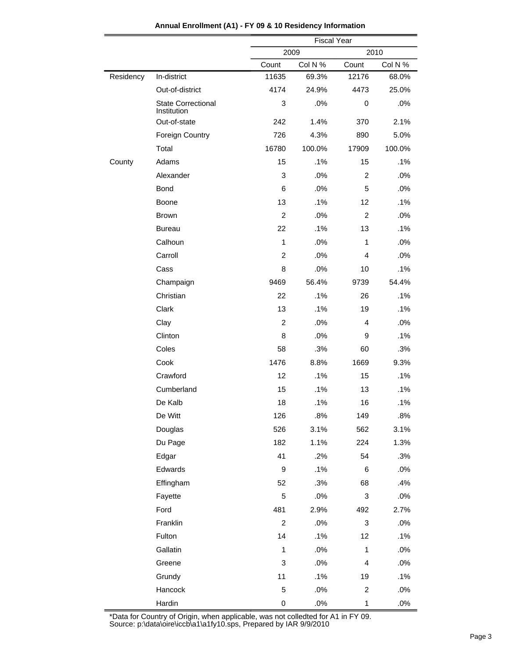|           |                                          |                  | <b>Fiscal Year</b> |                           |         |  |
|-----------|------------------------------------------|------------------|--------------------|---------------------------|---------|--|
|           |                                          |                  | 2010<br>2009       |                           |         |  |
|           |                                          | Count            | Col N %            | Count                     | Col N % |  |
| Residency | In-district                              | 11635            | 69.3%              | 12176                     | 68.0%   |  |
|           | Out-of-district                          | 4174             | 24.9%              | 4473                      | 25.0%   |  |
|           | <b>State Correctional</b><br>Institution | 3                | .0%                | 0                         | .0%     |  |
|           | Out-of-state                             | 242              | 1.4%               | 370                       | 2.1%    |  |
|           | <b>Foreign Country</b>                   | 726              | 4.3%               | 890                       | 5.0%    |  |
|           | Total                                    | 16780            | 100.0%             | 17909                     | 100.0%  |  |
| County    | Adams                                    | 15               | .1%                | 15                        | .1%     |  |
|           | Alexander                                | 3                | .0%                | 2                         | .0%     |  |
|           | <b>Bond</b>                              | 6                | .0%                | 5                         | .0%     |  |
|           | Boone                                    | 13               | .1%                | 12                        | .1%     |  |
|           | <b>Brown</b>                             | $\overline{2}$   | .0%                | 2                         | .0%     |  |
|           | <b>Bureau</b>                            | 22               | .1%                | 13                        | .1%     |  |
|           | Calhoun                                  | 1                | .0%                | $\mathbf{1}$              | .0%     |  |
|           | Carroll                                  | $\overline{c}$   | .0%                | 4                         | .0%     |  |
|           | Cass                                     | 8                | .0%                | 10                        | .1%     |  |
|           | Champaign                                | 9469             | 56.4%              | 9739                      | 54.4%   |  |
|           | Christian                                | 22               | .1%                | 26                        | .1%     |  |
|           | Clark                                    | 13               | .1%                | 19                        | .1%     |  |
|           | Clay                                     | $\overline{2}$   | .0%                | 4                         | .0%     |  |
|           | Clinton                                  | 8                | .0%                | 9                         | .1%     |  |
|           | Coles                                    | 58               | .3%                | 60                        | .3%     |  |
|           | Cook                                     | 1476             | 8.8%               | 1669                      | 9.3%    |  |
|           | Crawford                                 | 12               | .1%                | 15                        | .1%     |  |
|           | Cumberland                               | 15               | .1%                | 13                        | .1%     |  |
|           | De Kalb                                  | 18               | .1%                | 16                        | .1%     |  |
|           | De Witt                                  | 126              | .8%                | 149                       | .8%     |  |
|           | Douglas                                  | 526              | 3.1%               | 562                       | 3.1%    |  |
|           | Du Page                                  | 182              | 1.1%               | 224                       | 1.3%    |  |
|           | Edgar                                    | 41               | .2%                | 54                        | .3%     |  |
|           | Edwards                                  | $\boldsymbol{9}$ | .1%                | 6                         | .0%     |  |
|           | Effingham                                | 52               | .3%                | 68                        | .4%     |  |
|           | Fayette                                  | 5                | .0%                | $\sqrt{3}$                | .0%     |  |
|           | Ford                                     | 481              | 2.9%               | 492                       | 2.7%    |  |
|           | Franklin                                 | $\overline{c}$   | .0%                | $\ensuremath{\mathsf{3}}$ | .0%     |  |
|           | Fulton                                   | 14               | .1%                | 12                        | .1%     |  |
|           | Gallatin                                 | $\mathbf{1}$     | .0%                | $\mathbf{1}$              | .0%     |  |
|           | Greene                                   | 3                | .0%                | 4                         | .0%     |  |
|           | Grundy                                   | 11               | .1%                | 19                        | .1%     |  |
|           | Hancock                                  | 5                | $.0\%$             | $\overline{2}$            | .0%     |  |
|           | Hardin                                   | 0                | $.0\%$             | $\mathbf{1}$              | .0%     |  |

**Annual Enrollment (A1) - FY 09 & 10 Residency Information**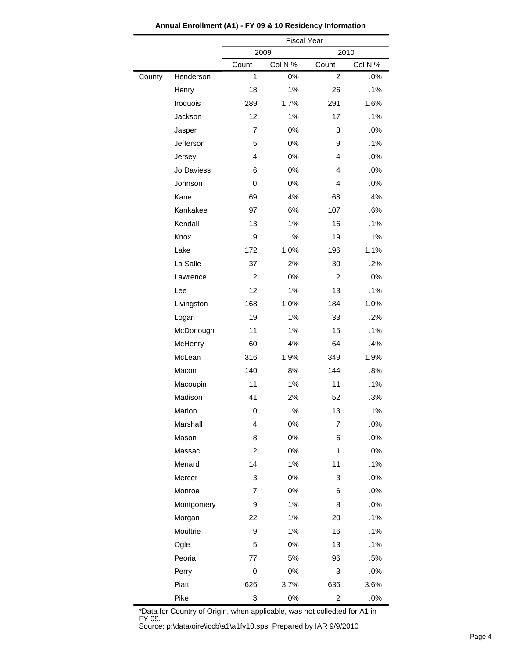|        |            | <b>Fiscal Year</b> |         |                         |         |  |
|--------|------------|--------------------|---------|-------------------------|---------|--|
|        |            | 2009<br>2010       |         |                         |         |  |
|        |            | Count              | Col N % | Count                   | Col N % |  |
| County | Henderson  | 1                  | .0%     | $\overline{c}$          | .0%     |  |
|        | Henry      | 18                 | .1%     | 26                      | .1%     |  |
|        | Iroquois   | 289                | 1.7%    | 291                     | 1.6%    |  |
|        | Jackson    | 12                 | .1%     | 17                      | .1%     |  |
|        | Jasper     | 7                  | .0%     | 8                       | .0%     |  |
|        | Jefferson  | 5                  | .0%     | 9                       | .1%     |  |
|        | Jersey     | 4                  | .0%     | 4                       | .0%     |  |
|        | Jo Daviess | 6                  | .0%     | 4                       | .0%     |  |
|        | Johnson    | 0                  | .0%     | 4                       | .0%     |  |
|        | Kane       | 69                 | .4%     | 68                      | .4%     |  |
|        | Kankakee   | 97                 | .6%     | 107                     | .6%     |  |
|        | Kendall    | 13                 | .1%     | 16                      | $.1\%$  |  |
|        | Knox       | 19                 | .1%     | 19                      | .1%     |  |
|        | Lake       | 172                | 1.0%    | 196                     | 1.1%    |  |
|        | La Salle   | 37                 | .2%     | 30                      | .2%     |  |
|        | Lawrence   | $\overline{2}$     | .0%     | 2                       | .0%     |  |
|        | Lee        | 12                 | .1%     | 13                      | .1%     |  |
|        | Livingston | 168                | 1.0%    | 184                     | 1.0%    |  |
|        | Logan      | 19                 | .1%     | 33                      | .2%     |  |
|        | McDonough  | 11                 | .1%     | 15                      | .1%     |  |
|        | McHenry    | 60                 | .4%     | 64                      | .4%     |  |
|        | McLean     | 316                | 1.9%    | 349                     | 1.9%    |  |
|        | Macon      | 140                | .8%     | 144                     | .8%     |  |
|        | Macoupin   | 11                 | .1%     | 11                      | .1%     |  |
|        | Madison    | 41                 | .2%     | 52                      | .3%     |  |
|        | Marion     | 10                 | .1%     | 13                      | .1%     |  |
|        | Marshall   | 4                  | .0%     | 7                       | .0%     |  |
|        | Mason      | 8                  | .0%     | 6                       | .0%     |  |
|        | Massac     | $\overline{c}$     | .0%     | 1                       | .0%     |  |
|        | Menard     | 14                 | .1%     | 11                      | .1%     |  |
|        | Mercer     | 3                  | .0%     | 3                       | .0%     |  |
|        | Monroe     | 7                  | .0%     | 6                       | .0%     |  |
|        | Montgomery | 9                  | .1%     | 8                       | .0%     |  |
|        | Morgan     | 22                 | .1%     | 20                      | .1%     |  |
|        | Moultrie   | 9                  | .1%     | 16                      | .1%     |  |
|        | Ogle       | 5                  | .0%     | 13                      | .1%     |  |
|        | Peoria     | 77                 | .5%     | 96                      | .5%     |  |
|        | Perry      | 0                  | .0%     | 3                       | .0%     |  |
|        | Piatt      | 626                | 3.7%    | 636                     | 3.6%    |  |
|        | Pike       | 3                  | $.0\%$  | $\overline{\mathbf{c}}$ | $.0\%$  |  |

**Annual Enrollment (A1) - FY 09 & 10 Residency Information**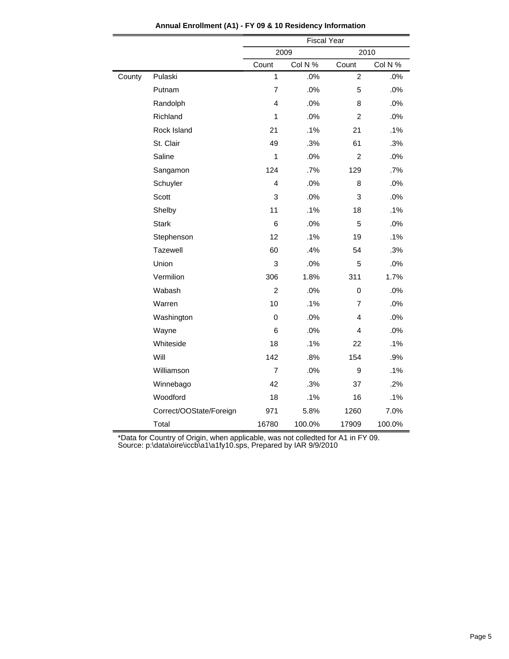|        |                         | <b>Fiscal Year</b> |         |                |         |  |
|--------|-------------------------|--------------------|---------|----------------|---------|--|
|        |                         |                    | 2009    | 2010           |         |  |
|        |                         | Count              | Col N % | Count          | Col N % |  |
| County | Pulaski                 | $\mathbf{1}$       | .0%     | $\overline{2}$ | .0%     |  |
|        | Putnam                  | $\overline{7}$     | .0%     | 5              | .0%     |  |
|        | Randolph                | $\overline{4}$     | .0%     | 8              | .0%     |  |
|        | Richland                | 1                  | .0%     | $\overline{2}$ | .0%     |  |
|        | Rock Island             | 21                 | .1%     | 21             | .1%     |  |
|        | St. Clair               | 49                 | .3%     | 61             | .3%     |  |
|        | Saline                  | $\mathbf{1}$       | .0%     | 2              | .0%     |  |
|        | Sangamon                | 124                | .7%     | 129            | .7%     |  |
|        | Schuyler                | 4                  | .0%     | 8              | .0%     |  |
|        | Scott                   | 3                  | .0%     | 3              | .0%     |  |
|        | Shelby                  | 11                 | .1%     | 18             | .1%     |  |
|        | <b>Stark</b>            | 6                  | .0%     | 5              | .0%     |  |
|        | Stephenson              | 12                 | .1%     | 19             | .1%     |  |
|        | Tazewell                | 60                 | .4%     | 54             | .3%     |  |
|        | Union                   | 3                  | .0%     | 5              | .0%     |  |
|        | Vermilion               | 306                | 1.8%    | 311            | 1.7%    |  |
|        | Wabash                  | $\overline{2}$     | .0%     | $\mathbf 0$    | .0%     |  |
|        | Warren                  | 10                 | .1%     | 7              | .0%     |  |
|        | Washington              | $\Omega$           | .0%     | 4              | .0%     |  |
|        | Wayne                   | 6                  | .0%     | 4              | .0%     |  |
|        | Whiteside               | 18                 | .1%     | 22             | .1%     |  |
|        | Will                    | 142                | .8%     | 154            | .9%     |  |
|        | Williamson              | $\overline{7}$     | .0%     | 9              | .1%     |  |
|        | Winnebago               | 42                 | .3%     | 37             | .2%     |  |
|        | Woodford                | 18                 | .1%     | 16             | .1%     |  |
|        | Correct/OOState/Foreign | 971                | 5.8%    | 1260           | 7.0%    |  |
|        | Total                   | 16780              | 100.0%  | 17909          | 100.0%  |  |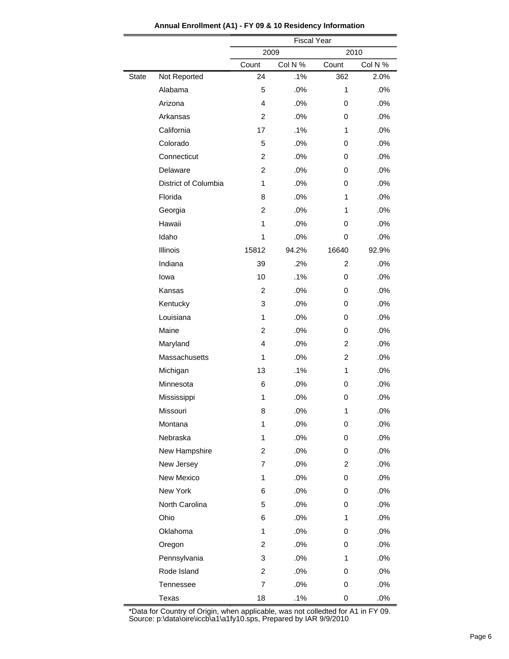|              |                      | <b>Fiscal Year</b>      |         |                |         |  |  |
|--------------|----------------------|-------------------------|---------|----------------|---------|--|--|
|              |                      | 2009<br>2010            |         |                |         |  |  |
|              |                      | Count                   | Col N % | Count          | Col N % |  |  |
| <b>State</b> | Not Reported         | 24                      | .1%     | 362            | 2.0%    |  |  |
|              | Alabama              | 5                       | .0%     | 1              | .0%     |  |  |
|              | Arizona              | 4                       | .0%     | 0              | .0%     |  |  |
|              | Arkansas             | $\overline{c}$          | .0%     | 0              | .0%     |  |  |
|              | California           | 17                      | .1%     | 1              | .0%     |  |  |
|              | Colorado             | 5                       | .0%     | 0              | .0%     |  |  |
|              | Connecticut          | $\overline{c}$          | .0%     | 0              | .0%     |  |  |
|              | Delaware             | $\overline{c}$          | .0%     | 0              | .0%     |  |  |
|              | District of Columbia | 1                       | .0%     | 0              | .0%     |  |  |
|              | Florida              | 8                       | .0%     | 1              | .0%     |  |  |
|              | Georgia              | $\overline{c}$          | .0%     | 1              | .0%     |  |  |
|              | Hawaii               | 1                       | .0%     | 0              | .0%     |  |  |
|              | Idaho                | 1                       | .0%     | 0              | .0%     |  |  |
|              | Illinois             | 15812                   | 94.2%   | 16640          | 92.9%   |  |  |
|              | Indiana              | 39                      | .2%     | $\overline{2}$ | .0%     |  |  |
|              | lowa                 | 10                      | .1%     | 0              | .0%     |  |  |
|              | Kansas               | $\overline{c}$          | .0%     | 0              | .0%     |  |  |
|              | Kentucky             | 3                       | .0%     | 0              | .0%     |  |  |
|              | Louisiana            | 1                       | .0%     | 0              | .0%     |  |  |
|              | Maine                | $\overline{c}$          | .0%     | 0              | .0%     |  |  |
|              | Maryland             | 4                       | .0%     | $\overline{c}$ | .0%     |  |  |
|              | Massachusetts        | 1                       | .0%     | 2              | .0%     |  |  |
|              | Michigan             | 13                      | .1%     | 1              | .0%     |  |  |
|              | Minnesota            | 6                       | .0%     | 0              | .0%     |  |  |
|              | Mississippi          | 1                       | .0%     | 0              | .0%     |  |  |
|              | Missouri             | 8                       | .0%     | 1              | .0%     |  |  |
|              | Montana              | 1                       | .0%     | 0              | .0%     |  |  |
|              | Nebraska             | 1                       | .0%     | 0              | .0%     |  |  |
|              | New Hampshire        | $\overline{\mathbf{c}}$ | .0%     | 0              | .0%     |  |  |
|              | New Jersey           | 7                       | .0%     | 2              | .0%     |  |  |
|              | New Mexico           | 1                       | .0%     | 0              | .0%     |  |  |
|              | New York             | 6                       | .0%     | 0              | .0%     |  |  |
|              | North Carolina       | 5                       | .0%     | 0              | .0%     |  |  |
|              | Ohio                 | 6                       | .0%     | 1              | .0%     |  |  |
|              | Oklahoma             | 1                       | .0%     | 0              | .0%     |  |  |
|              | Oregon               | $\overline{\mathbf{c}}$ | .0%     | 0              | .0%     |  |  |
|              | Pennsylvania         | 3                       | .0%     | 1              | .0%     |  |  |
|              | Rode Island          | $\overline{\mathbf{c}}$ | .0%     | 0              | .0%     |  |  |
|              | Tennessee            | 7                       | .0%     | 0              | .0%     |  |  |
|              | Texas                | 18                      | .1%     | 0              | .0%     |  |  |

**Annual Enrollment (A1) - FY 09 & 10 Residency Information**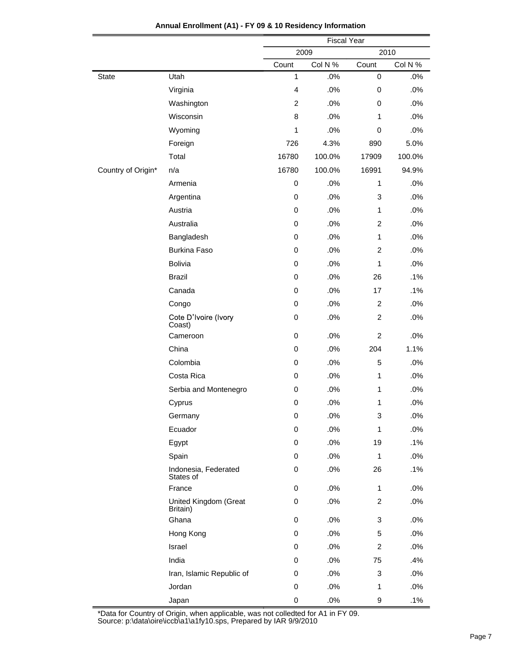|                    |                                   | <b>Fiscal Year</b> |         |                |         |  |
|--------------------|-----------------------------------|--------------------|---------|----------------|---------|--|
|                    |                                   | 2009               |         |                | 2010    |  |
|                    |                                   | Count              | Col N % | Count          | Col N % |  |
| <b>State</b>       | Utah                              | 1                  | .0%     | 0              | $.0\%$  |  |
|                    | Virginia                          | 4                  | .0%     | $\mathbf 0$    | .0%     |  |
|                    | Washington                        | 2                  | .0%     | 0              | .0%     |  |
|                    | Wisconsin                         | 8                  | .0%     | $\mathbf{1}$   | .0%     |  |
|                    | Wyoming                           | 1                  | .0%     | $\mathbf 0$    | .0%     |  |
|                    | Foreign                           | 726                | 4.3%    | 890            | 5.0%    |  |
|                    | Total                             | 16780              | 100.0%  | 17909          | 100.0%  |  |
| Country of Origin* | n/a                               | 16780              | 100.0%  | 16991          | 94.9%   |  |
|                    | Armenia                           | $\pmb{0}$          | .0%     | 1              | .0%     |  |
|                    | Argentina                         | $\mathbf 0$        | .0%     | 3              | .0%     |  |
|                    | Austria                           | $\mathbf 0$        | .0%     | $\mathbf{1}$   | .0%     |  |
|                    | Australia                         | 0                  | .0%     | $\overline{c}$ | .0%     |  |
|                    | Bangladesh                        | $\mathbf 0$        | .0%     | 1              | .0%     |  |
|                    | <b>Burkina Faso</b>               | $\mathbf 0$        | .0%     | 2              | .0%     |  |
|                    | <b>Bolivia</b>                    | 0                  | .0%     | $\mathbf{1}$   | .0%     |  |
|                    | <b>Brazil</b>                     | $\mathbf 0$        | .0%     | 26             | .1%     |  |
|                    | Canada                            | 0                  | .0%     | 17             | $.1\%$  |  |
|                    | Congo                             | 0                  | .0%     | $\overline{2}$ | .0%     |  |
|                    | Cote D'Ivoire (Ivory<br>Coast)    | $\pmb{0}$          | .0%     | $\overline{c}$ | .0%     |  |
|                    | Cameroon                          | $\pmb{0}$          | .0%     | $\overline{c}$ | .0%     |  |
|                    | China                             | $\mathbf 0$        | .0%     | 204            | 1.1%    |  |
|                    | Colombia                          | 0                  | .0%     | 5              | .0%     |  |
|                    | Costa Rica                        | 0                  | .0%     | 1              | .0%     |  |
|                    | Serbia and Montenegro             | $\mathbf 0$        | .0%     | 1              | .0%     |  |
|                    | Cyprus                            | 0                  | .0%     | 1              | .0%     |  |
|                    | Germany                           | 0                  | .0%     | 3              | .0%     |  |
|                    | Ecuador                           | $\mathbf 0$        | $.0\%$  | 1              | .0%     |  |
|                    | Egypt                             | 0                  | .0%     | 19             | .1%     |  |
|                    | Spain                             | 0                  | .0%     | $\mathbf{1}$   | .0%     |  |
|                    | Indonesia, Federated<br>States of | $\mathbf 0$        | .0%     | 26             | .1%     |  |
|                    | France                            | 0                  | .0%     | 1              | .0%     |  |
|                    | United Kingdom (Great<br>Britain) | 0                  | .0%     | 2              | .0%     |  |
|                    | Ghana                             | 0                  | .0%     | 3              | .0%     |  |
|                    | Hong Kong                         | 0                  | .0%     | 5              | .0%     |  |
|                    | Israel                            | 0                  | .0%     | $\overline{2}$ | .0%     |  |
|                    | India                             | 0                  | .0%     | 75             | .4%     |  |
|                    | Iran, Islamic Republic of         | 0                  | .0%     | 3              | .0%     |  |
|                    | Jordan                            | 0                  | .0%     | 1              | .0%     |  |
|                    | Japan                             | 0                  | .0%     | 9              | .1%     |  |

**Annual Enrollment (A1) - FY 09 & 10 Residency Information**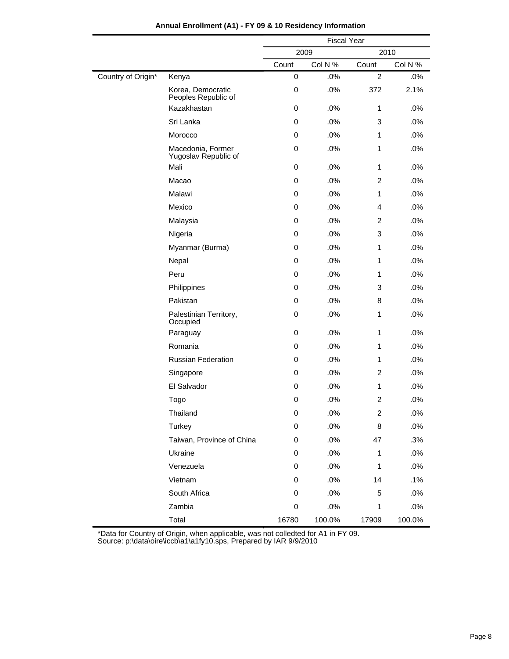|                    |                                           | <b>Fiscal Year</b> |         |                |         |  |
|--------------------|-------------------------------------------|--------------------|---------|----------------|---------|--|
|                    |                                           |                    | 2009    | 2010           |         |  |
|                    |                                           | Count              | Col N % | Count          | Col N % |  |
| Country of Origin* | Kenya                                     | $\mathbf 0$        | .0%     | $\overline{2}$ | $.0\%$  |  |
|                    | Korea, Democratic<br>Peoples Republic of  | $\pmb{0}$          | .0%     | 372            | 2.1%    |  |
|                    | Kazakhastan                               | 0                  | .0%     | 1              | .0%     |  |
|                    | Sri Lanka                                 | 0                  | .0%     | 3              | .0%     |  |
|                    | Morocco                                   | 0                  | .0%     | 1              | .0%     |  |
|                    | Macedonia, Former<br>Yugoslav Republic of | 0                  | .0%     | 1              | .0%     |  |
|                    | Mali                                      | $\pmb{0}$          | .0%     | 1              | .0%     |  |
|                    | Macao                                     | 0                  | .0%     | $\overline{2}$ | .0%     |  |
|                    | Malawi                                    | 0                  | .0%     | 1              | .0%     |  |
|                    | Mexico                                    | 0                  | .0%     | 4              | .0%     |  |
|                    | Malaysia                                  | 0                  | .0%     | $\overline{2}$ | .0%     |  |
|                    | Nigeria                                   | 0                  | .0%     | 3              | .0%     |  |
|                    | Myanmar (Burma)                           | 0                  | .0%     | 1              | .0%     |  |
|                    | Nepal                                     | 0                  | .0%     | 1              | .0%     |  |
|                    | Peru                                      | 0                  | .0%     | 1              | .0%     |  |
|                    | Philippines                               | 0                  | .0%     | 3              | .0%     |  |
|                    | Pakistan                                  | 0                  | .0%     | 8              | .0%     |  |
|                    | Palestinian Territory,<br>Occupied        | 0                  | .0%     | 1              | .0%     |  |
|                    | Paraguay                                  | 0                  | .0%     | 1              | .0%     |  |
|                    | Romania                                   | 0                  | .0%     | 1              | .0%     |  |
|                    | <b>Russian Federation</b>                 | 0                  | .0%     | 1              | .0%     |  |
|                    | Singapore                                 | 0                  | .0%     | 2              | .0%     |  |
|                    | El Salvador                               | 0                  | .0%     | 1              | .0%     |  |
|                    | Togo                                      | 0                  | .0%     | $\overline{c}$ | .0%     |  |
|                    | Thailand                                  | 0                  | .0%     | 2              | .0%     |  |
|                    | Turkey                                    | $\pmb{0}$          | .0%     | 8              | .0%     |  |
|                    | Taiwan, Province of China                 | $\mathbf 0$        | .0%     | 47             | .3%     |  |
|                    | Ukraine                                   | 0                  | .0%     | 1              | .0%     |  |
|                    | Venezuela                                 | $\mathbf 0$        | .0%     | 1              | .0%     |  |
|                    | Vietnam                                   | 0                  | .0%     | 14             | .1%     |  |
|                    | South Africa                              | 0                  | .0%     | 5              | .0%     |  |
|                    | Zambia                                    | $\,0\,$            | .0%     | 1              | .0%     |  |
|                    | Total                                     | 16780              | 100.0%  | 17909          | 100.0%  |  |

## **Annual Enrollment (A1) - FY 09 & 10 Residency Information**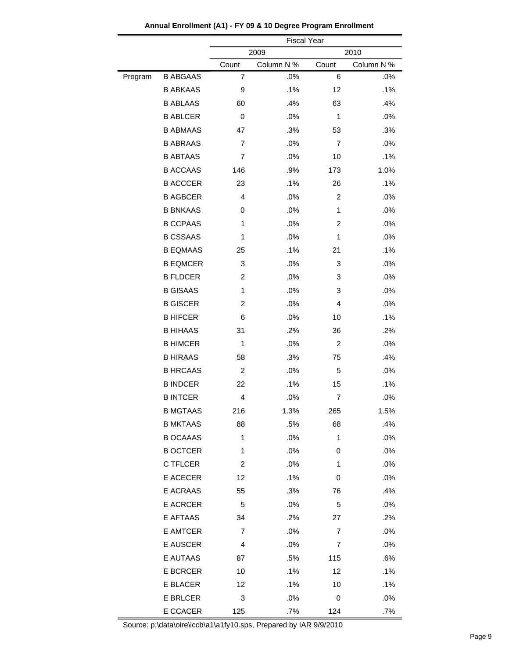|         |                 | <b>Fiscal Year</b> |            |                |            |  |  |
|---------|-----------------|--------------------|------------|----------------|------------|--|--|
|         |                 | 2009<br>2010       |            |                |            |  |  |
|         |                 | Count              | Column N % | Count          | Column N % |  |  |
| Program | <b>B ABGAAS</b> | 7                  | .0%        | 6              | .0%        |  |  |
|         | <b>B ABKAAS</b> | 9                  | .1%        | 12             | .1%        |  |  |
|         | <b>B ABLAAS</b> | 60                 | .4%        | 63             | .4%        |  |  |
|         | <b>B ABLCER</b> | 0                  | .0%        | 1              | .0%        |  |  |
|         | <b>B ABMAAS</b> | 47                 | .3%        | 53             | .3%        |  |  |
|         | <b>B ABRAAS</b> | $\overline{7}$     | .0%        | $\overline{7}$ | .0%        |  |  |
|         | <b>B ABTAAS</b> | 7                  | .0%        | 10             | .1%        |  |  |
|         | <b>B ACCAAS</b> | 146                | .9%        | 173            | 1.0%       |  |  |
|         | <b>B ACCCER</b> | 23                 | .1%        | 26             | .1%        |  |  |
|         | <b>B AGBCER</b> | 4                  | .0%        | $\overline{c}$ | .0%        |  |  |
|         | <b>B BNKAAS</b> | 0                  | .0%        | 1              | .0%        |  |  |
|         | <b>B CCPAAS</b> | 1                  | .0%        | 2              | .0%        |  |  |
|         | <b>B CSSAAS</b> | 1                  | .0%        | $\mathbf{1}$   | .0%        |  |  |
|         | <b>B EQMAAS</b> | 25                 | .1%        | 21             | .1%        |  |  |
|         | <b>B EQMCER</b> | 3                  | .0%        | 3              | .0%        |  |  |
|         | <b>B FLDCER</b> | 2                  | .0%        | 3              | .0%        |  |  |
|         | <b>B GISAAS</b> | $\mathbf{1}$       | .0%        | 3              | .0%        |  |  |
|         | <b>B GISCER</b> | $\overline{2}$     | .0%        | 4              | .0%        |  |  |
|         | <b>B HIFCER</b> | 6                  | .0%        | 10             | .1%        |  |  |
|         | <b>B HIHAAS</b> | 31                 | .2%        | 36             | .2%        |  |  |
|         | <b>B HIMCER</b> | $\mathbf{1}$       | .0%        | $\overline{c}$ | .0%        |  |  |
|         | <b>B HIRAAS</b> | 58                 | .3%        | 75             | .4%        |  |  |
|         | <b>B HRCAAS</b> | $\overline{c}$     | .0%        | 5              | .0%        |  |  |
|         | <b>B INDCER</b> | 22                 | .1%        | 15             | .1%        |  |  |
|         | <b>B INTCER</b> | 4                  | .0%        | 7              | .0%        |  |  |
|         | <b>B MGTAAS</b> | 216                | 1.3%       | 265            | 1.5%       |  |  |
|         | <b>B MKTAAS</b> | 88                 | .5%        | 68             | .4%        |  |  |
|         | <b>B OCAAAS</b> | $\mathbf{1}$       | .0%        | 1              | .0%        |  |  |
|         | <b>B OCTCER</b> | 1                  | .0%        | 0              | .0%        |  |  |
|         | C TFLCER        | $\overline{c}$     | .0%        | 1              | .0%        |  |  |
|         | E ACECER        | 12                 | .1%        | 0              | .0%        |  |  |
|         | E ACRAAS        | 55                 | .3%        | 76             | .4%        |  |  |
|         | <b>E ACRCER</b> | 5                  | .0%        | 5              | .0%        |  |  |
|         | E AFTAAS        | 34                 | .2%        | 27             | .2%        |  |  |
|         | <b>E AMTCER</b> | 7                  | .0%        | 7              | .0%        |  |  |
|         | E AUSCER        | 4                  | .0%        | 7              | .0%        |  |  |
|         | E AUTAAS        | 87                 | .5%        | 115            | .6%        |  |  |
|         | <b>E BCRCER</b> | 10                 | .1%        | 12             | .1%        |  |  |
|         | E BLACER        | 12                 | .1%        | 10             | .1%        |  |  |
|         | <b>E BRLCER</b> | 3                  | .0%        | 0              | .0%        |  |  |
|         | E CCACER        | 125                | .7%        | 124            | .7%        |  |  |

**Annual Enrollment (A1) - FY 09 & 10 Degree Program Enrollment**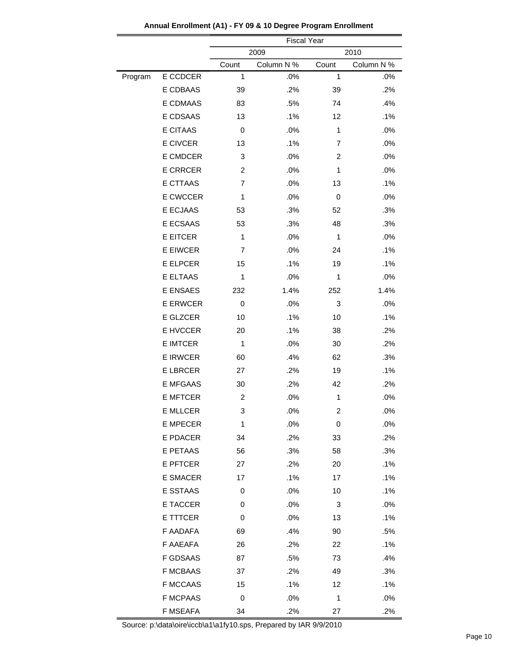|         |                 | <b>Fiscal Year</b> |            |       |            |  |  |
|---------|-----------------|--------------------|------------|-------|------------|--|--|
|         |                 | 2009<br>2010       |            |       |            |  |  |
|         |                 | Count              | Column N % | Count | Column N % |  |  |
| Program | E CCDCER        | 1                  | .0%        | 1     | .0%        |  |  |
|         | E CDBAAS        | 39                 | .2%        | 39    | .2%        |  |  |
|         | E CDMAAS        | 83                 | .5%        | 74    | .4%        |  |  |
|         | E CDSAAS        | 13                 | .1%        | 12    | .1%        |  |  |
|         | <b>E CITAAS</b> | 0                  | .0%        | 1     | .0%        |  |  |
|         | E CIVCER        | 13                 | .1%        | 7     | .0%        |  |  |
|         | E CMDCER        | 3                  | .0%        | 2     | .0%        |  |  |
|         | <b>E CRRCER</b> | 2                  | .0%        | 1     | .0%        |  |  |
|         | E CTTAAS        | $\overline{7}$     | .0%        | 13    | .1%        |  |  |
|         | E CWCCER        | 1                  | .0%        | 0     | .0%        |  |  |
|         | E ECJAAS        | 53                 | .3%        | 52    | .3%        |  |  |
|         | E ECSAAS        | 53                 | .3%        | 48    | .3%        |  |  |
|         | <b>E EITCER</b> | 1                  | .0%        | 1     | .0%        |  |  |
|         | E EIWCER        | 7                  | .0%        | 24    | .1%        |  |  |
|         | <b>E ELPCER</b> | 15                 | .1%        | 19    | .1%        |  |  |
|         | E ELTAAS        | 1                  | .0%        | 1     | .0%        |  |  |
|         | <b>E ENSAES</b> | 232                | 1.4%       | 252   | 1.4%       |  |  |
|         | <b>E ERWCER</b> | 0                  | .0%        | 3     | .0%        |  |  |
|         | E GLZCER        | 10                 | .1%        | 10    | .1%        |  |  |
|         | E HVCCER        | 20                 | .1%        | 38    | .2%        |  |  |
|         | <b>E IMTCER</b> | 1                  | .0%        | 30    | .2%        |  |  |
|         | <b>E IRWCER</b> | 60                 | .4%        | 62    | .3%        |  |  |
|         | <b>E LBRCER</b> | 27                 | .2%        | 19    | .1%        |  |  |
|         | <b>E MFGAAS</b> | 30                 | .2%        | 42    | .2%        |  |  |
|         | <b>E MFTCER</b> | 2                  | .0%        | 1     | .0%        |  |  |
|         | E MLLCER        | 3                  | .0%        | 2     | .0%        |  |  |
|         | <b>E MPECER</b> | 1                  | .0%        | 0     | .0%        |  |  |
|         | E PDACER        | 34                 | .2%        | 33    | .2%        |  |  |
|         | E PETAAS        | 56                 | .3%        | 58    | .3%        |  |  |
|         | E PFTCER        | 27                 | .2%        | 20    | .1%        |  |  |
|         | <b>E SMACER</b> | 17                 | .1%        | 17    | .1%        |  |  |
|         | E SSTAAS        | 0                  | .0%        | 10    | .1%        |  |  |
|         | E TACCER        | 0                  | .0%        | 3     | .0%        |  |  |
|         | E TTTCER        | 0                  | .0%        | 13    | .1%        |  |  |
|         | F AADAFA        | 69                 | .4%        | 90    | .5%        |  |  |
|         | F AAEAFA        | 26                 | .2%        | 22    | .1%        |  |  |
|         | <b>F GDSAAS</b> | 87                 | .5%        | 73    | .4%        |  |  |
|         | <b>F MCBAAS</b> | 37                 | .2%        | 49    | .3%        |  |  |
|         | <b>F MCCAAS</b> | 15                 | .1%        | 12    | .1%        |  |  |
|         | <b>F MCPAAS</b> | 0                  | .0%        | 1     | .0%        |  |  |
|         | <b>F MSEAFA</b> | 34                 | .2%        | 27    | .2%        |  |  |

**Annual Enrollment (A1) - FY 09 & 10 Degree Program Enrollment**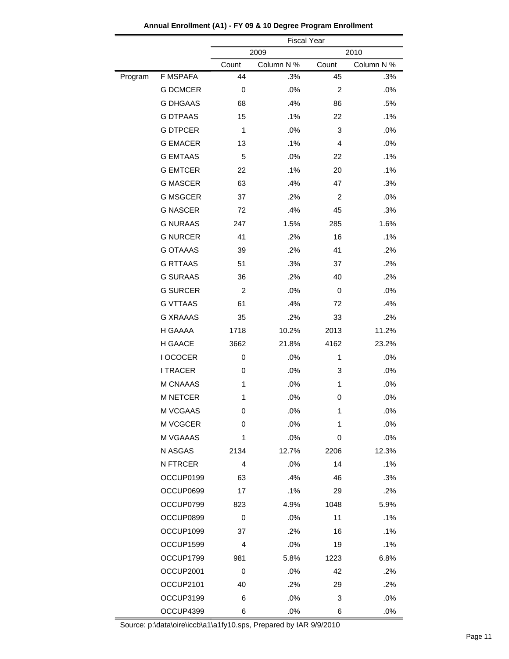|         |                 | <b>Fiscal Year</b> |            |                |            |  |
|---------|-----------------|--------------------|------------|----------------|------------|--|
|         |                 | 2009<br>2010       |            |                |            |  |
|         |                 | Count              | Column N % | Count          | Column N % |  |
| Program | <b>F MSPAFA</b> | 44                 | .3%        | 45             | .3%        |  |
|         | <b>G DCMCER</b> | 0                  | .0%        | $\overline{2}$ | .0%        |  |
|         | <b>G DHGAAS</b> | 68                 | .4%        | 86             | .5%        |  |
|         | <b>G DTPAAS</b> | 15                 | .1%        | 22             | .1%        |  |
|         | <b>G DTPCER</b> | 1                  | .0%        | 3              | .0%        |  |
|         | <b>G EMACER</b> | 13                 | .1%        | 4              | .0%        |  |
|         | <b>G EMTAAS</b> | 5                  | .0%        | 22             | .1%        |  |
|         | <b>G EMTCER</b> | 22                 | .1%        | 20             | .1%        |  |
|         | <b>G MASCER</b> | 63                 | .4%        | 47             | .3%        |  |
|         | <b>G MSGCER</b> | 37                 | .2%        | 2              | .0%        |  |
|         | <b>G NASCER</b> | 72                 | .4%        | 45             | .3%        |  |
|         | <b>G NURAAS</b> | 247                | 1.5%       | 285            | 1.6%       |  |
|         | <b>G NURCER</b> | 41                 | .2%        | 16             | .1%        |  |
|         | <b>G OTAAAS</b> | 39                 | .2%        | 41             | .2%        |  |
|         | <b>G RTTAAS</b> | 51                 | .3%        | 37             | .2%        |  |
|         | <b>G SURAAS</b> | 36                 | .2%        | 40             | .2%        |  |
|         | <b>G SURCER</b> | 2                  | .0%        | 0              | .0%        |  |
|         | <b>G VTTAAS</b> | 61                 | .4%        | 72             | .4%        |  |
|         | <b>G XRAAAS</b> | 35                 | .2%        | 33             | .2%        |  |
|         | H GAAAA         | 1718               | 10.2%      | 2013           | 11.2%      |  |
|         | H GAACE         | 3662               | 21.8%      | 4162           | 23.2%      |  |
|         | I OCOCER        | 0                  | .0%        | 1              | .0%        |  |
|         | <b>I TRACER</b> | 0                  | .0%        | 3              | .0%        |  |
|         | M CNAAAS        | 1                  | .0%        | 1              | .0%        |  |
|         | <b>M NETCER</b> | 1                  | .0%        | 0              | .0%        |  |
|         | M VCGAAS        | 0                  | .0%        | 1              | .0%        |  |
|         | M VCGCER        | 0                  | .0%        | 1              | .0%        |  |
|         | M VGAAAS        | 1                  | .0%        | 0              | .0%        |  |
|         | N ASGAS         | 2134               | 12.7%      | 2206           | 12.3%      |  |
|         | N FTRCER        | $\overline{4}$     | .0%        | 14             | .1%        |  |
|         | OCCUP0199       | 63                 | .4%        | 46             | .3%        |  |
|         | OCCUP0699       | 17                 | .1%        | 29             | .2%        |  |
|         | OCCUP0799       | 823                | 4.9%       | 1048           | 5.9%       |  |
|         | OCCUP0899       | 0                  | .0%        | 11             | .1%        |  |
|         | OCCUP1099       | 37                 | .2%        | 16             | .1%        |  |
|         | OCCUP1599       | 4                  | .0%        | 19             | .1%        |  |
|         | OCCUP1799       | 981                | 5.8%       | 1223           | 6.8%       |  |
|         | OCCUP2001       | 0                  | .0%        | 42             | .2%        |  |
|         | OCCUP2101       | 40                 | .2%        | 29             | .2%        |  |
|         | OCCUP3199       | 6                  | .0%        | 3              | .0%        |  |
|         | OCCUP4399       | 6                  | .0%        | 6              | .0%        |  |

**Annual Enrollment (A1) - FY 09 & 10 Degree Program Enrollment**

-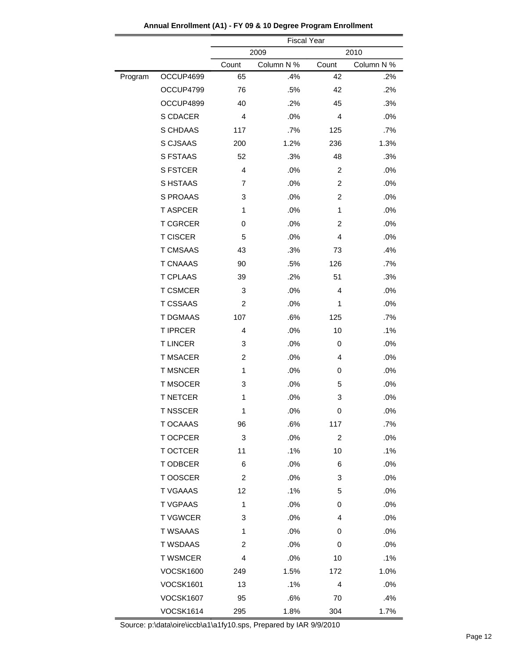|         |                  | <b>Fiscal Year</b> |            |                |            |  |
|---------|------------------|--------------------|------------|----------------|------------|--|
|         |                  | 2009<br>2010       |            |                |            |  |
|         |                  | Count              | Column N % | Count          | Column N % |  |
| Program | OCCUP4699        | 65                 | .4%        | 42             | .2%        |  |
|         | OCCUP4799        | 76                 | .5%        | 42             | .2%        |  |
|         | OCCUP4899        | 40                 | .2%        | 45             | .3%        |  |
|         | S CDACER         | 4                  | .0%        | 4              | .0%        |  |
|         | S CHDAAS         | 117                | .7%        | 125            | .7%        |  |
|         | S CJSAAS         | 200                | 1.2%       | 236            | 1.3%       |  |
|         | S FSTAAS         | 52                 | .3%        | 48             | .3%        |  |
|         | <b>S FSTCER</b>  | $\overline{4}$     | .0%        | $\overline{c}$ | .0%        |  |
|         | S HSTAAS         | 7                  | .0%        | 2              | .0%        |  |
|         | S PROAAS         | 3                  | .0%        | 2              | .0%        |  |
|         | <b>T ASPCER</b>  | 1                  | .0%        | 1              | .0%        |  |
|         | <b>T CGRCER</b>  | 0                  | .0%        | 2              | .0%        |  |
|         | <b>T CISCER</b>  | 5                  | .0%        | 4              | .0%        |  |
|         | <b>T CMSAAS</b>  | 43                 | .3%        | 73             | .4%        |  |
|         | <b>T CNAAAS</b>  | 90                 | .5%        | 126            | .7%        |  |
|         | <b>T CPLAAS</b>  | 39                 | .2%        | 51             | .3%        |  |
|         | <b>T CSMCER</b>  | 3                  | .0%        | 4              | .0%        |  |
|         | <b>T CSSAAS</b>  | 2                  | .0%        | 1              | .0%        |  |
|         | <b>T DGMAAS</b>  | 107                | .6%        | 125            | .7%        |  |
|         | <b>T IPRCER</b>  | 4                  | .0%        | 10             | .1%        |  |
|         | <b>TLINCER</b>   | 3                  | .0%        | 0              | .0%        |  |
|         | <b>T MSACER</b>  | $\overline{2}$     | .0%        | 4              | .0%        |  |
|         | <b>T MSNCER</b>  | $\mathbf{1}$       | .0%        | 0              | .0%        |  |
|         | <b>T MSOCER</b>  | 3                  | .0%        | 5              | .0%        |  |
|         | <b>T NETCER</b>  | 1                  | .0%        | 3              | .0%        |  |
|         | T NSSCER         | 1                  | .0%        | 0              | .0%        |  |
|         | T OCAAAS         | 96                 | .6%        | 117            | .7%        |  |
|         | T OCPCER         | 3                  | .0%        | 2              | .0%        |  |
|         | T OCTCER         | 11                 | .1%        | 10             | .1%        |  |
|         | T ODBCER         | 6                  | .0%        | 6              | .0%        |  |
|         | T OOSCER         | 2                  | .0%        | 3              | .0%        |  |
|         | <b>T VGAAAS</b>  | 12                 | .1%        | 5              | .0%        |  |
|         | <b>TVGPAAS</b>   | 1                  | .0%        | 0              | .0%        |  |
|         | <b>T VGWCER</b>  | 3                  | .0%        | 4              | .0%        |  |
|         | <b>T WSAAAS</b>  | 1                  | .0%        | 0              | .0%        |  |
|         | <b>T WSDAAS</b>  | 2                  | .0%        | 0              | .0%        |  |
|         | <b>T WSMCER</b>  | 4                  | .0%        | 10             | .1%        |  |
|         | <b>VOCSK1600</b> | 249                | 1.5%       | 172            | 1.0%       |  |
|         | <b>VOCSK1601</b> | 13                 | .1%        | 4              | .0%        |  |
|         | <b>VOCSK1607</b> | 95                 | .6%        | 70             | .4%        |  |
|         | <b>VOCSK1614</b> | 295                | 1.8%       | 304            | 1.7%       |  |

**Annual Enrollment (A1) - FY 09 & 10 Degree Program Enrollment**

۳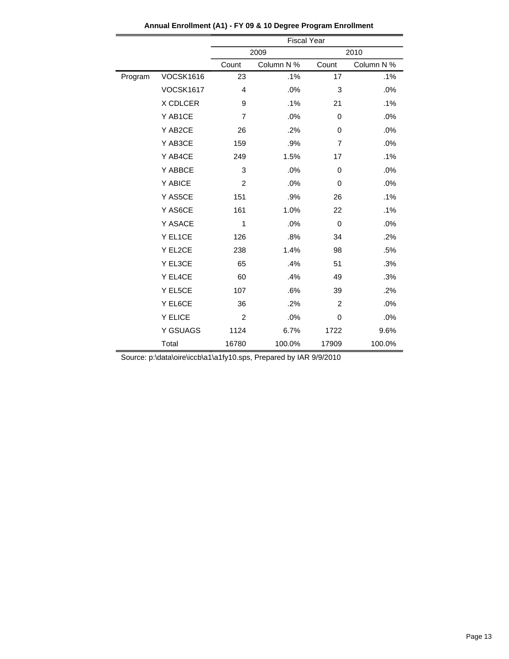|         |                  | <b>Fiscal Year</b> |            |                |            |  |
|---------|------------------|--------------------|------------|----------------|------------|--|
|         |                  | 2009               |            |                | 2010       |  |
|         |                  | Count              | Column N % | Count          | Column N % |  |
| Program | <b>VOCSK1616</b> | 23                 | .1%        | 17             | .1%        |  |
|         | <b>VOCSK1617</b> | 4                  | .0%        | 3              | .0%        |  |
|         | X CDLCER         | 9                  | .1%        | 21             | .1%        |  |
|         | Y AB1CE          | $\overline{7}$     | .0%        | 0              | .0%        |  |
|         | Y AB2CE          | 26                 | .2%        | 0              | .0%        |  |
|         | Y AB3CE          | 159                | .9%        | $\overline{7}$ | .0%        |  |
|         | Y AB4CE          | 249                | 1.5%       | 17             | .1%        |  |
|         | Y ABBCE          | 3                  | .0%        | 0              | .0%        |  |
|         | Y ABICE          | $\overline{2}$     | .0%        | 0              | .0%        |  |
|         | Y AS5CE          | 151                | .9%        | 26             | .1%        |  |
|         | Y AS6CE          | 161                | 1.0%       | 22             | .1%        |  |
|         | Y ASACE          | $\mathbf{1}$       | .0%        | 0              | .0%        |  |
|         | Y EL1CE          | 126                | .8%        | 34             | .2%        |  |
|         | Y EL2CE          | 238                | 1.4%       | 98             | .5%        |  |
|         | Y EL3CE          | 65                 | .4%        | 51             | .3%        |  |
|         | Y EL4CE          | 60                 | .4%        | 49             | .3%        |  |
|         | Y EL5CE          | 107                | .6%        | 39             | .2%        |  |
|         | Y EL6CE          | 36                 | .2%        | $\overline{2}$ | .0%        |  |
|         | Y ELICE          | $\overline{2}$     | .0%        | 0              | .0%        |  |
|         | Y GSUAGS         | 1124               | 6.7%       | 1722           | 9.6%       |  |
|         | Total            | 16780              | 100.0%     | 17909          | 100.0%     |  |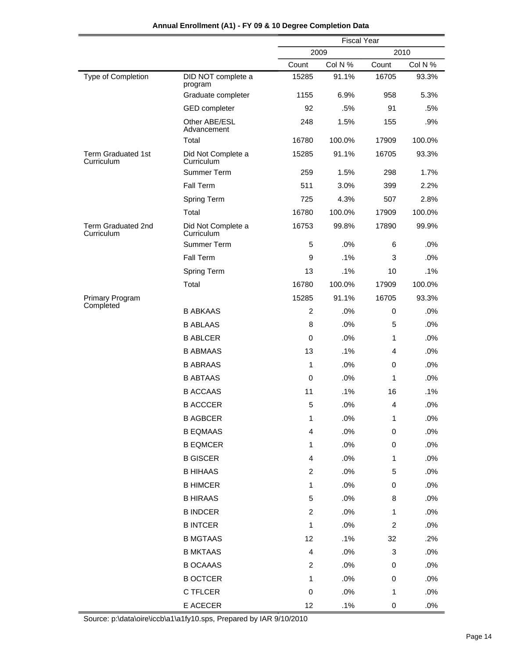|                                         |                                  | <b>Fiscal Year</b>      |         |                           |         |  |
|-----------------------------------------|----------------------------------|-------------------------|---------|---------------------------|---------|--|
|                                         |                                  | 2009                    |         |                           | 2010    |  |
|                                         |                                  | Count                   | Col N % | Count                     | Col N % |  |
| Type of Completion                      | DID NOT complete a<br>program    | 15285                   | 91.1%   | 16705                     | 93.3%   |  |
|                                         | Graduate completer               | 1155                    | 6.9%    | 958                       | 5.3%    |  |
|                                         | <b>GED</b> completer             | 92                      | .5%     | 91                        | .5%     |  |
|                                         | Other ABE/ESL<br>Advancement     | 248                     | 1.5%    | 155                       | .9%     |  |
|                                         | Total                            | 16780                   | 100.0%  | 17909                     | 100.0%  |  |
| <b>Term Graduated 1st</b><br>Curriculum | Did Not Complete a<br>Curriculum | 15285                   | 91.1%   | 16705                     | 93.3%   |  |
|                                         | Summer Term                      | 259                     | 1.5%    | 298                       | 1.7%    |  |
|                                         | Fall Term                        | 511                     | 3.0%    | 399                       | 2.2%    |  |
|                                         | Spring Term                      | 725                     | 4.3%    | 507                       | 2.8%    |  |
|                                         | Total                            | 16780                   | 100.0%  | 17909                     | 100.0%  |  |
| Term Graduated 2nd<br>Curriculum        | Did Not Complete a<br>Curriculum | 16753                   | 99.8%   | 17890                     | 99.9%   |  |
|                                         | Summer Term                      | 5                       | .0%     | 6                         | .0%     |  |
|                                         | Fall Term                        | 9                       | .1%     | 3                         | .0%     |  |
|                                         | Spring Term                      | 13                      | .1%     | 10                        | .1%     |  |
|                                         | Total                            | 16780                   | 100.0%  | 17909                     | 100.0%  |  |
| Primary Program                         |                                  | 15285                   | 91.1%   | 16705                     | 93.3%   |  |
| Completed                               | <b>B ABKAAS</b>                  | $\overline{2}$          | .0%     | 0                         | .0%     |  |
|                                         | <b>B ABLAAS</b>                  | 8                       | .0%     | 5                         | .0%     |  |
|                                         | <b>B ABLCER</b>                  | 0                       | .0%     | 1                         | .0%     |  |
|                                         | <b>B ABMAAS</b>                  | 13                      | .1%     | 4                         | .0%     |  |
|                                         | <b>B ABRAAS</b>                  | 1                       | .0%     | 0                         | .0%     |  |
|                                         | <b>B ABTAAS</b>                  | 0                       | .0%     | 1                         | .0%     |  |
|                                         | <b>B ACCAAS</b>                  | 11                      | .1%     | 16                        | .1%     |  |
|                                         | <b>B ACCCER</b>                  | 5                       | .0%     | 4                         | .0%     |  |
|                                         | <b>B AGBCER</b>                  | 1                       | .0%     | 1                         | .0%     |  |
|                                         | <b>B EQMAAS</b>                  | 4                       | .0%     | $\pmb{0}$                 | .0%     |  |
|                                         | <b>B EQMCER</b>                  | 1                       | .0%     | $\pmb{0}$                 | .0%     |  |
|                                         | <b>B GISCER</b>                  | 4                       | .0%     | 1                         | .0%     |  |
|                                         | <b>B HIHAAS</b>                  | $\overline{c}$          | .0%     | $\mathbf 5$               | .0%     |  |
|                                         | <b>B HIMCER</b>                  | 1                       | .0%     | $\pmb{0}$                 | .0%     |  |
|                                         | <b>B HIRAAS</b>                  | 5                       | .0%     | 8                         | .0%     |  |
|                                         | <b>B INDCER</b>                  | $\overline{c}$          | .0%     | $\mathbf{1}$              | .0%     |  |
|                                         | <b>B INTCER</b>                  | 1                       | .0%     | $\boldsymbol{2}$          | .0%     |  |
|                                         | <b>B MGTAAS</b>                  | 12                      | .1%     | 32                        | .2%     |  |
|                                         | <b>B MKTAAS</b>                  | $\overline{\mathbf{4}}$ | .0%     | $\ensuremath{\mathsf{3}}$ | .0%     |  |
|                                         | <b>B OCAAAS</b>                  | $\overline{c}$          | .0%     | 0                         | .0%     |  |
|                                         | <b>B OCTCER</b>                  | 1                       | .0%     | 0                         | .0%     |  |
|                                         | C TFLCER                         | $\pmb{0}$               | .0%     | 1                         | .0%     |  |
|                                         | E ACECER                         | 12                      | .1%     | 0                         | .0%     |  |
|                                         |                                  |                         |         |                           |         |  |

## **Annual Enrollment (A1) - FY 09 & 10 Degree Completion Data**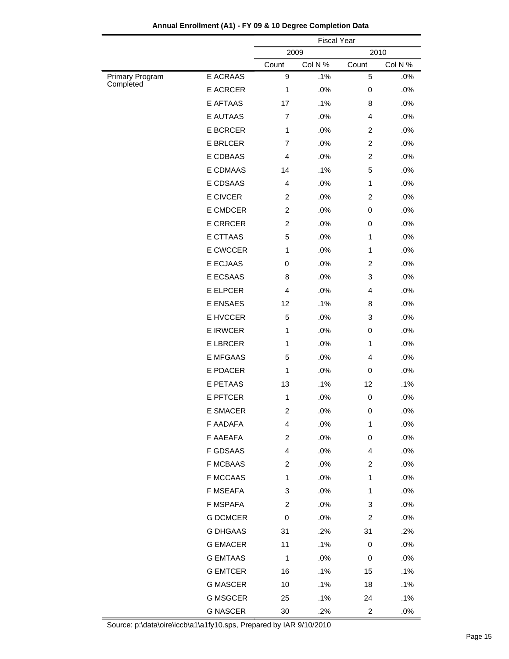|                              |                 | <b>Fiscal Year</b>      |         |                |         |
|------------------------------|-----------------|-------------------------|---------|----------------|---------|
|                              |                 |                         | 2009    |                | 2010    |
|                              |                 | Count                   | Col N % | Count          | Col N % |
| Primary Program<br>Completed | E ACRAAS        | 9                       | .1%     | 5              | .0%     |
|                              | <b>E ACRCER</b> | 1                       | .0%     | 0              | .0%     |
|                              | E AFTAAS        | 17                      | .1%     | 8              | .0%     |
|                              | <b>E AUTAAS</b> | $\overline{7}$          | .0%     | 4              | .0%     |
|                              | <b>E BCRCER</b> | $\mathbf{1}$            | .0%     | $\overline{c}$ | .0%     |
|                              | <b>E BRLCER</b> | $\overline{7}$          | .0%     | $\overline{2}$ | .0%     |
|                              | E CDBAAS        | $\overline{4}$          | .0%     | $\overline{c}$ | .0%     |
|                              | E CDMAAS        | 14                      | .1%     | 5              | .0%     |
|                              | E CDSAAS        | 4                       | .0%     | 1              | .0%     |
|                              | E CIVCER        | 2                       | .0%     | $\overline{2}$ | .0%     |
|                              | E CMDCER        | $\overline{c}$          | .0%     | 0              | .0%     |
|                              | <b>E CRRCER</b> | $\overline{c}$          | .0%     | 0              | .0%     |
|                              | <b>E CTTAAS</b> | 5                       | .0%     | 1              | .0%     |
|                              | E CWCCER        | 1                       | .0%     | 1              | .0%     |
|                              | <b>E ECJAAS</b> | 0                       | .0%     | $\overline{2}$ | .0%     |
|                              | E ECSAAS        | 8                       | .0%     | 3              | .0%     |
|                              | <b>E ELPCER</b> | $\overline{4}$          | .0%     | $\overline{4}$ | .0%     |
|                              | <b>E ENSAES</b> | 12                      | .1%     | 8              | .0%     |
|                              | E HVCCER        | 5                       | .0%     | 3              | .0%     |
|                              | <b>E IRWCER</b> | 1                       | .0%     | 0              | .0%     |
|                              | <b>E LBRCER</b> | 1                       | .0%     | 1              | .0%     |
|                              | <b>E MFGAAS</b> | 5                       | .0%     | 4              | .0%     |
|                              | E PDACER        | 1                       | .0%     | 0              | .0%     |
|                              | E PETAAS        | 13                      | .1%     | 12             | .1%     |
|                              | <b>E PFTCER</b> | 1                       | .0%     | 0              | .0%     |
|                              | <b>E SMACER</b> | $\overline{\mathbf{c}}$ | .0%     | 0              | .0%     |
|                              | F AADAFA        | 4                       | .0%     | 1              | .0%     |
|                              | F AAEAFA        | $\overline{a}$          | .0%     | 0              | .0%     |
|                              | <b>F GDSAAS</b> | 4                       | .0%     | 4              | .0%     |
|                              | <b>F MCBAAS</b> | $\overline{2}$          | .0%     | 2              | .0%     |
|                              | <b>F MCCAAS</b> | 1                       | .0%     | 1              | .0%     |
|                              | F MSEAFA        | 3                       | .0%     | 1              | .0%     |
|                              | F MSPAFA        | $\overline{c}$          | .0%     | 3              | .0%     |
|                              | <b>G DCMCER</b> | 0                       | .0%     | 2              | .0%     |
|                              | <b>G DHGAAS</b> | 31                      | .2%     | 31             | .2%     |
|                              | <b>G EMACER</b> | 11                      | .1%     | 0              | .0%     |
|                              | <b>G EMTAAS</b> | $\mathbf{1}$            | .0%     | 0              | .0%     |
|                              | <b>G EMTCER</b> | 16                      | .1%     | 15             | .1%     |
|                              | <b>G MASCER</b> | 10                      | .1%     | 18             | .1%     |
|                              | <b>G MSGCER</b> | 25                      | .1%     | 24             | .1%     |
|                              | <b>G NASCER</b> | $30\,$                  | .2%     | $\overline{c}$ | $.0\%$  |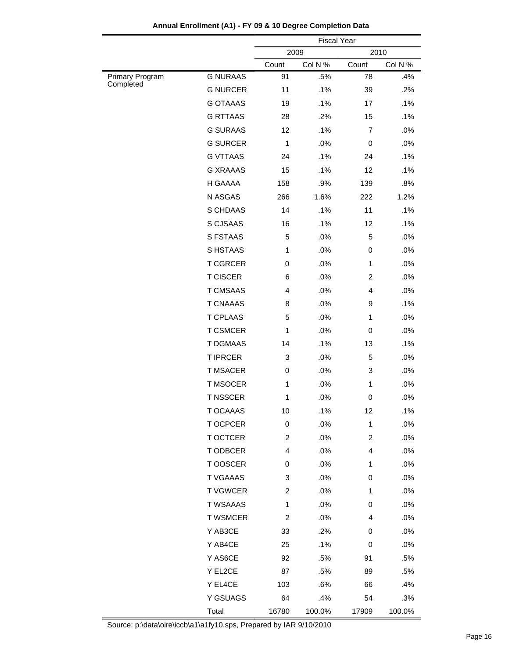|                              |                 | <b>Fiscal Year</b> |         |                |         |
|------------------------------|-----------------|--------------------|---------|----------------|---------|
|                              |                 | 2009               |         |                | 2010    |
|                              |                 | Count              | Col N % | Count          | Col N % |
| Primary Program<br>Completed | <b>G NURAAS</b> | 91                 | .5%     | 78             | .4%     |
|                              | <b>G NURCER</b> | 11                 | .1%     | 39             | .2%     |
|                              | <b>G OTAAAS</b> | 19                 | .1%     | 17             | .1%     |
|                              | <b>G RTTAAS</b> | 28                 | .2%     | 15             | .1%     |
|                              | <b>G SURAAS</b> | 12                 | .1%     | $\overline{7}$ | .0%     |
|                              | <b>G SURCER</b> | $\mathbf{1}$       | .0%     | 0              | .0%     |
|                              | <b>G VTTAAS</b> | 24                 | .1%     | 24             | .1%     |
|                              | <b>G XRAAAS</b> | 15                 | .1%     | 12             | .1%     |
|                              | H GAAAA         | 158                | .9%     | 139            | .8%     |
|                              | N ASGAS         | 266                | 1.6%    | 222            | 1.2%    |
|                              | S CHDAAS        | 14                 | .1%     | 11             | .1%     |
|                              | S CJSAAS        | 16                 | .1%     | 12             | .1%     |
|                              | S FSTAAS        | 5                  | .0%     | 5              | .0%     |
|                              | S HSTAAS        | $\mathbf{1}$       | .0%     | 0              | .0%     |
|                              | <b>T CGRCER</b> | 0                  | .0%     | 1              | .0%     |
|                              | <b>T CISCER</b> | 6                  | .0%     | $\overline{c}$ | .0%     |
|                              | <b>T CMSAAS</b> | $\overline{4}$     | .0%     | $\overline{4}$ | .0%     |
|                              | <b>T CNAAAS</b> | 8                  | .0%     | 9              | .1%     |
|                              | <b>T CPLAAS</b> | 5                  | .0%     | 1              | .0%     |
|                              | <b>T CSMCER</b> | $\mathbf{1}$       | .0%     | 0              | .0%     |
|                              | <b>T DGMAAS</b> | 14                 | .1%     | 13             | .1%     |
|                              | <b>T IPRCER</b> | 3                  | .0%     | 5              | .0%     |
|                              | <b>T MSACER</b> | 0                  | .0%     | 3              | .0%     |
|                              | <b>T MSOCER</b> | $\mathbf{1}$       | .0%     | 1              | .0%     |
|                              | <b>T NSSCER</b> | $\mathbf{1}$       | .0%     | 0              | .0%     |
|                              | T OCAAAS        | 10                 | .1%     | 12             | .1%     |
|                              | T OCPCER        | 0                  | .0%     | 1              | .0%     |
|                              | T OCTCER        | $\overline{2}$     | .0%     | $\overline{c}$ | .0%     |
|                              | T ODBCER        | 4                  | .0%     | $\overline{4}$ | .0%     |
|                              | T OOSCER        | 0                  | .0%     | 1              | .0%     |
|                              | T VGAAAS        | 3                  | .0%     | 0              | .0%     |
|                              | <b>T VGWCER</b> | $\overline{2}$     | .0%     | 1              | .0%     |
|                              | <b>T WSAAAS</b> | $\mathbf{1}$       | .0%     | 0              | .0%     |
|                              | <b>T WSMCER</b> | $\overline{2}$     | .0%     | 4              | .0%     |
|                              | Y AB3CE         | 33                 | .2%     | 0              | .0%     |
|                              | Y AB4CE         | 25                 | .1%     | 0              | .0%     |
|                              | Y AS6CE         | 92                 | .5%     | 91             | .5%     |
|                              | Y EL2CE         | 87                 | .5%     | 89             | .5%     |
|                              | Y EL4CE         | 103                | .6%     | 66             | .4%     |
|                              | Y GSUAGS        | 64                 | .4%     | 54             | .3%     |
|                              | Total           | 16780              | 100.0%  | 17909          | 100.0%  |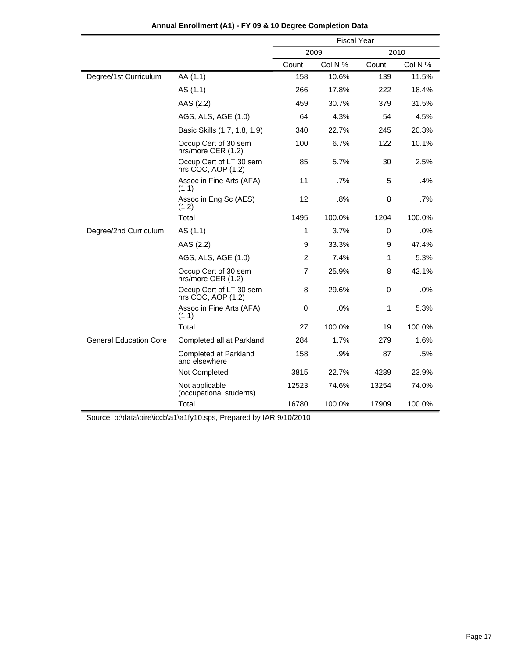|                               |                                               | <b>Fiscal Year</b> |         |       |         |  |
|-------------------------------|-----------------------------------------------|--------------------|---------|-------|---------|--|
|                               |                                               | 2009               |         | 2010  |         |  |
|                               |                                               | Count              | Col N % | Count | Col N % |  |
| Degree/1st Curriculum         | AA (1.1)                                      | 158                | 10.6%   | 139   | 11.5%   |  |
|                               | AS (1.1)                                      | 266                | 17.8%   | 222   | 18.4%   |  |
|                               | AAS (2.2)                                     | 459                | 30.7%   | 379   | 31.5%   |  |
|                               | AGS, ALS, AGE (1.0)                           | 64                 | 4.3%    | 54    | 4.5%    |  |
|                               | Basic Skills (1.7, 1.8, 1.9)                  | 340                | 22.7%   | 245   | 20.3%   |  |
|                               | Occup Cert of 30 sem<br>hrs/more CER (1.2)    | 100                | 6.7%    | 122   | 10.1%   |  |
|                               | Occup Cert of LT 30 sem<br>hrs COC, AOP (1.2) | 85                 | 5.7%    | 30    | 2.5%    |  |
|                               | Assoc in Fine Arts (AFA)<br>(1.1)             | 11                 | .7%     | 5     | .4%     |  |
|                               | Assoc in Eng Sc (AES)<br>(1.2)                | 12                 | .8%     | 8     | .7%     |  |
|                               | Total                                         | 1495               | 100.0%  | 1204  | 100.0%  |  |
| Degree/2nd Curriculum         | AS (1.1)                                      | 1                  | 3.7%    | 0     | .0%     |  |
|                               | AAS (2.2)                                     | 9                  | 33.3%   | 9     | 47.4%   |  |
|                               | AGS, ALS, AGE (1.0)                           | $\overline{2}$     | 7.4%    | 1     | 5.3%    |  |
|                               | Occup Cert of 30 sem<br>hrs/more CER (1.2)    | 7                  | 25.9%   | 8     | 42.1%   |  |
|                               | Occup Cert of LT 30 sem<br>hrs COC, AOP (1.2) | 8                  | 29.6%   | 0     | .0%     |  |
|                               | Assoc in Fine Arts (AFA)<br>(1.1)             | 0                  | .0%     | 1     | 5.3%    |  |
|                               | Total                                         | 27                 | 100.0%  | 19    | 100.0%  |  |
| <b>General Education Core</b> | Completed all at Parkland                     | 284                | 1.7%    | 279   | 1.6%    |  |
|                               | Completed at Parkland<br>and elsewhere        | 158                | $.9\%$  | 87    | .5%     |  |
|                               | Not Completed                                 | 3815               | 22.7%   | 4289  | 23.9%   |  |
|                               | Not applicable<br>(occupational students)     | 12523              | 74.6%   | 13254 | 74.0%   |  |
|                               | Total                                         | 16780              | 100.0%  | 17909 | 100.0%  |  |

**Annual Enrollment (A1) - FY 09 & 10 Degree Completion Data**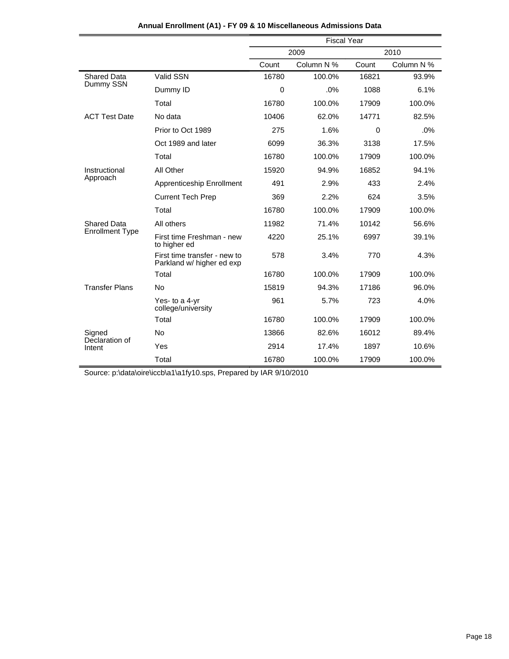| Annual Enrollment (A1) - FY 09 & 10 Miscellaneous Admissions Data |  |  |  |
|-------------------------------------------------------------------|--|--|--|
|-------------------------------------------------------------------|--|--|--|

|                          |                                                           | <b>Fiscal Year</b> |            |              |            |  |
|--------------------------|-----------------------------------------------------------|--------------------|------------|--------------|------------|--|
|                          |                                                           |                    | 2009       |              | 2010       |  |
|                          |                                                           | Count              | Column N % | Count        | Column N % |  |
| <b>Shared Data</b>       | Valid SSN                                                 | 16780              | 100.0%     | 16821        | 93.9%      |  |
| Dummy SSN                | Dummy ID                                                  | 0                  | .0%        | 1088         | 6.1%       |  |
|                          | Total                                                     | 16780              | 100.0%     | 17909        | 100.0%     |  |
| <b>ACT Test Date</b>     | No data                                                   | 10406              | 62.0%      | 14771        | 82.5%      |  |
|                          | Prior to Oct 1989                                         | 275                | 1.6%       | $\mathbf{0}$ | .0%        |  |
|                          | Oct 1989 and later                                        | 6099               | 36.3%      | 3138         | 17.5%      |  |
|                          | Total                                                     | 16780              | 100.0%     | 17909        | 100.0%     |  |
| Instructional            | All Other                                                 | 15920              | 94.9%      | 16852        | 94.1%      |  |
| Approach                 | Apprenticeship Enrollment                                 | 491                | 2.9%       | 433          | 2.4%       |  |
|                          | <b>Current Tech Prep</b>                                  | 369                | 2.2%       | 624          | 3.5%       |  |
|                          | Total                                                     | 16780              | 100.0%     | 17909        | 100.0%     |  |
| <b>Shared Data</b>       | All others                                                | 11982              | 71.4%      | 10142        | 56.6%      |  |
| <b>Enrollment Type</b>   | First time Freshman - new<br>to higher ed                 | 4220               | 25.1%      | 6997         | 39.1%      |  |
|                          | First time transfer - new to<br>Parkland w/ higher ed exp | 578                | 3.4%       | 770          | 4.3%       |  |
|                          | Total                                                     | 16780              | 100.0%     | 17909        | 100.0%     |  |
| <b>Transfer Plans</b>    | <b>No</b>                                                 | 15819              | 94.3%      | 17186        | 96.0%      |  |
|                          | Yes- to a 4-yr<br>college/university                      | 961                | 5.7%       | 723          | 4.0%       |  |
|                          | Total                                                     | 16780              | 100.0%     | 17909        | 100.0%     |  |
| Signed                   | <b>No</b>                                                 | 13866              | 82.6%      | 16012        | 89.4%      |  |
| Declaration of<br>Intent | Yes                                                       | 2914               | 17.4%      | 1897         | 10.6%      |  |
|                          | Total                                                     | 16780              | 100.0%     | 17909        | 100.0%     |  |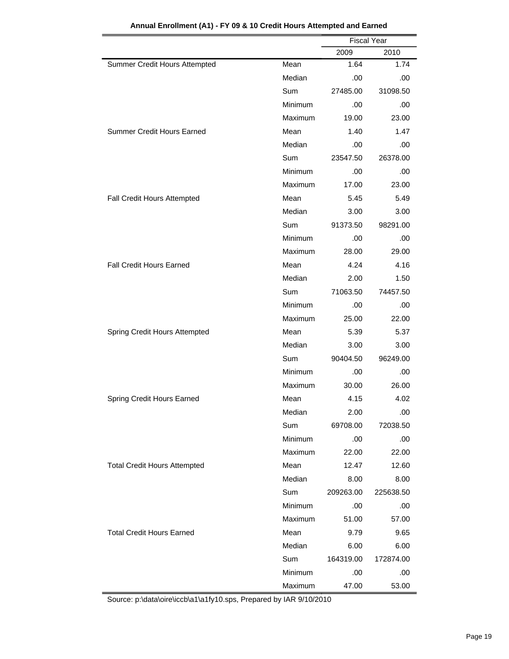|                                     |            | <b>Fiscal Year</b> |           |
|-------------------------------------|------------|--------------------|-----------|
|                                     |            | 2009               | 2010      |
| Summer Credit Hours Attempted       | Mean       | 1.64               | 1.74      |
|                                     | Median     | .00                | .00       |
|                                     | <b>Sum</b> | 27485.00           | 31098.50  |
|                                     | Minimum    | .00                | .00       |
|                                     | Maximum    | 19.00              | 23.00     |
| Summer Credit Hours Earned          | Mean       | 1.40               | 1.47      |
|                                     | Median     | .00                | .00       |
|                                     | Sum        | 23547.50           | 26378.00  |
|                                     | Minimum    | .00                | .00       |
|                                     | Maximum    | 17.00              | 23.00     |
| Fall Credit Hours Attempted         | Mean       | 5.45               | 5.49      |
|                                     | Median     | 3.00               | 3.00      |
|                                     | <b>Sum</b> | 91373.50           | 98291.00  |
|                                     | Minimum    | .00                | .00       |
|                                     | Maximum    | 28.00              | 29.00     |
| <b>Fall Credit Hours Earned</b>     | Mean       | 4.24               | 4.16      |
|                                     | Median     | 2.00               | 1.50      |
|                                     | Sum        | 71063.50           | 74457.50  |
|                                     | Minimum    | .00                | .00       |
|                                     | Maximum    | 25.00              | 22.00     |
| Spring Credit Hours Attempted       | Mean       | 5.39               | 5.37      |
|                                     | Median     | 3.00               | 3.00      |
|                                     | Sum        | 90404.50           | 96249.00  |
|                                     | Minimum    | .00                | .00       |
|                                     | Maximum    | 30.00              | 26.00     |
| Spring Credit Hours Earned          | Mean       | 4.15               | 4.02      |
|                                     | Median     | 2.00               | .00       |
|                                     | Sum        | 69708.00           | 72038.50  |
|                                     | Minimum    | .00.               | .00       |
|                                     | Maximum    | 22.00              | 22.00     |
| <b>Total Credit Hours Attempted</b> | Mean       | 12.47              | 12.60     |
|                                     | Median     | 8.00               | 8.00      |
|                                     | Sum        | 209263.00          | 225638.50 |
|                                     | Minimum    | .00.               | .00       |
|                                     | Maximum    | 51.00              | 57.00     |
| <b>Total Credit Hours Earned</b>    | Mean       | 9.79               | 9.65      |
|                                     | Median     | 6.00               | 6.00      |
|                                     | Sum        | 164319.00          | 172874.00 |
|                                     | Minimum    | .00                | .00       |
|                                     | Maximum    | 47.00              | 53.00     |